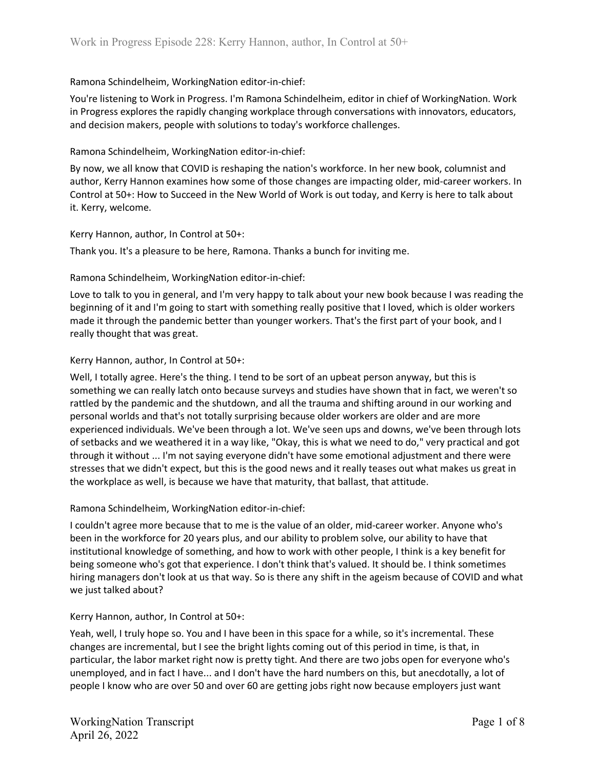You're listening to Work in Progress. I'm Ramona Schindelheim, editor in chief of WorkingNation. Work in Progress explores the rapidly changing workplace through conversations with innovators, educators, and decision makers, people with solutions to today's workforce challenges.

### Ramona Schindelheim, WorkingNation editor-in-chief:

By now, we all know that COVID is reshaping the nation's workforce. In her new book, columnist and author, Kerry Hannon examines how some of those changes are impacting older, mid-career workers. In Control at 50+: How to Succeed in the New World of Work is out today, and Kerry is here to talk about it. Kerry, welcome.

### Kerry Hannon, author, In Control at 50+:

Thank you. It's a pleasure to be here, Ramona. Thanks a bunch for inviting me.

## Ramona Schindelheim, WorkingNation editor-in-chief:

Love to talk to you in general, and I'm very happy to talk about your new book because I was reading the beginning of it and I'm going to start with something really positive that I loved, which is older workers made it through the pandemic better than younger workers. That's the first part of your book, and I really thought that was great.

## Kerry Hannon, author, In Control at 50+:

Well, I totally agree. Here's the thing. I tend to be sort of an upbeat person anyway, but this is something we can really latch onto because surveys and studies have shown that in fact, we weren't so rattled by the pandemic and the shutdown, and all the trauma and shifting around in our working and personal worlds and that's not totally surprising because older workers are older and are more experienced individuals. We've been through a lot. We've seen ups and downs, we've been through lots of setbacks and we weathered it in a way like, "Okay, this is what we need to do," very practical and got through it without ... I'm not saying everyone didn't have some emotional adjustment and there were stresses that we didn't expect, but this is the good news and it really teases out what makes us great in the workplace as well, is because we have that maturity, that ballast, that attitude.

### Ramona Schindelheim, WorkingNation editor-in-chief:

I couldn't agree more because that to me is the value of an older, mid-career worker. Anyone who's been in the workforce for 20 years plus, and our ability to problem solve, our ability to have that institutional knowledge of something, and how to work with other people, I think is a key benefit for being someone who's got that experience. I don't think that's valued. It should be. I think sometimes hiring managers don't look at us that way. So is there any shift in the ageism because of COVID and what we just talked about?

### Kerry Hannon, author, In Control at 50+:

Yeah, well, I truly hope so. You and I have been in this space for a while, so it's incremental. These changes are incremental, but I see the bright lights coming out of this period in time, is that, in particular, the labor market right now is pretty tight. And there are two jobs open for everyone who's unemployed, and in fact I have... and I don't have the hard numbers on this, but anecdotally, a lot of people I know who are over 50 and over 60 are getting jobs right now because employers just want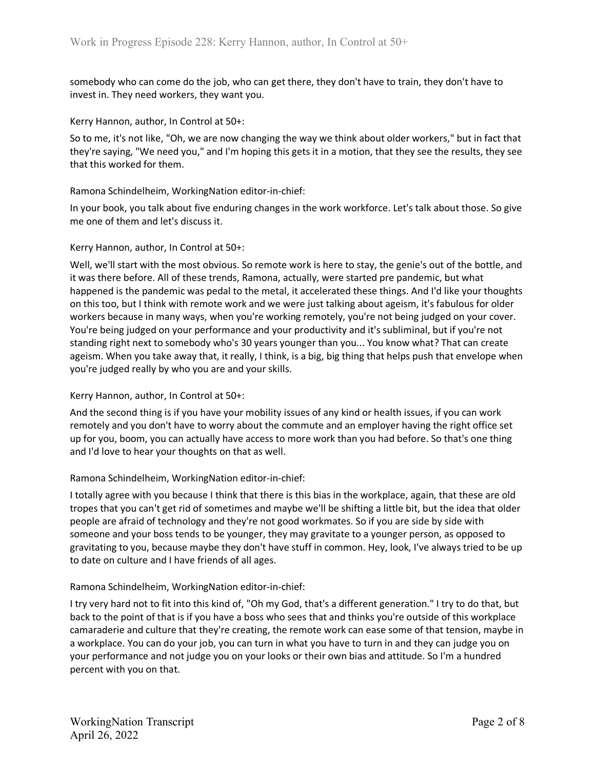somebody who can come do the job, who can get there, they don't have to train, they don't have to invest in. They need workers, they want you.

Kerry Hannon, author, In Control at 50+:

So to me, it's not like, "Oh, we are now changing the way we think about older workers," but in fact that they're saying, "We need you," and I'm hoping this gets it in a motion, that they see the results, they see that this worked for them.

Ramona Schindelheim, WorkingNation editor-in-chief:

In your book, you talk about five enduring changes in the work workforce. Let's talk about those. So give me one of them and let's discuss it.

#### Kerry Hannon, author, In Control at 50+:

Well, we'll start with the most obvious. So remote work is here to stay, the genie's out of the bottle, and it was there before. All of these trends, Ramona, actually, were started pre pandemic, but what happened is the pandemic was pedal to the metal, it accelerated these things. And I'd like your thoughts on this too, but I think with remote work and we were just talking about ageism, it's fabulous for older workers because in many ways, when you're working remotely, you're not being judged on your cover. You're being judged on your performance and your productivity and it's subliminal, but if you're not standing right next to somebody who's 30 years younger than you... You know what? That can create ageism. When you take away that, it really, I think, is a big, big thing that helps push that envelope when you're judged really by who you are and your skills.

### Kerry Hannon, author, In Control at 50+:

And the second thing is if you have your mobility issues of any kind or health issues, if you can work remotely and you don't have to worry about the commute and an employer having the right office set up for you, boom, you can actually have access to more work than you had before. So that's one thing and I'd love to hear your thoughts on that as well.

#### Ramona Schindelheim, WorkingNation editor-in-chief:

I totally agree with you because I think that there is this bias in the workplace, again, that these are old tropes that you can't get rid of sometimes and maybe we'll be shifting a little bit, but the idea that older people are afraid of technology and they're not good workmates. So if you are side by side with someone and your boss tends to be younger, they may gravitate to a younger person, as opposed to gravitating to you, because maybe they don't have stuff in common. Hey, look, I've always tried to be up to date on culture and I have friends of all ages.

### Ramona Schindelheim, WorkingNation editor-in-chief:

I try very hard not to fit into this kind of, "Oh my God, that's a different generation." I try to do that, but back to the point of that is if you have a boss who sees that and thinks you're outside of this workplace camaraderie and culture that they're creating, the remote work can ease some of that tension, maybe in a workplace. You can do your job, you can turn in what you have to turn in and they can judge you on your performance and not judge you on your looks or their own bias and attitude. So I'm a hundred percent with you on that.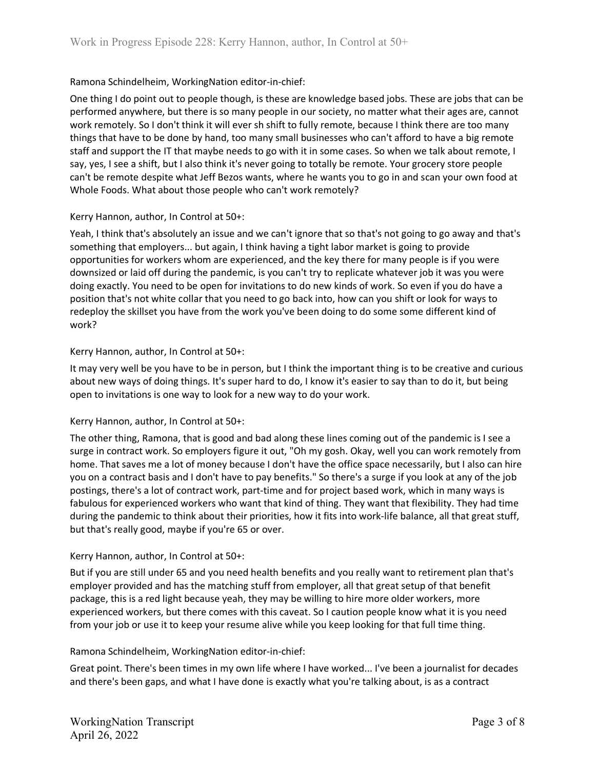One thing I do point out to people though, is these are knowledge based jobs. These are jobs that can be performed anywhere, but there is so many people in our society, no matter what their ages are, cannot work remotely. So I don't think it will ever sh shift to fully remote, because I think there are too many things that have to be done by hand, too many small businesses who can't afford to have a big remote staff and support the IT that maybe needs to go with it in some cases. So when we talk about remote, I say, yes, I see a shift, but I also think it's never going to totally be remote. Your grocery store people can't be remote despite what Jeff Bezos wants, where he wants you to go in and scan your own food at Whole Foods. What about those people who can't work remotely?

### Kerry Hannon, author, In Control at 50+:

Yeah, I think that's absolutely an issue and we can't ignore that so that's not going to go away and that's something that employers... but again, I think having a tight labor market is going to provide opportunities for workers whom are experienced, and the key there for many people is if you were downsized or laid off during the pandemic, is you can't try to replicate whatever job it was you were doing exactly. You need to be open for invitations to do new kinds of work. So even if you do have a position that's not white collar that you need to go back into, how can you shift or look for ways to redeploy the skillset you have from the work you've been doing to do some some different kind of work?

## Kerry Hannon, author, In Control at 50+:

It may very well be you have to be in person, but I think the important thing is to be creative and curious about new ways of doing things. It's super hard to do, I know it's easier to say than to do it, but being open to invitations is one way to look for a new way to do your work.

# Kerry Hannon, author, In Control at 50+:

The other thing, Ramona, that is good and bad along these lines coming out of the pandemic is I see a surge in contract work. So employers figure it out, "Oh my gosh. Okay, well you can work remotely from home. That saves me a lot of money because I don't have the office space necessarily, but I also can hire you on a contract basis and I don't have to pay benefits." So there's a surge if you look at any of the job postings, there's a lot of contract work, part-time and for project based work, which in many ways is fabulous for experienced workers who want that kind of thing. They want that flexibility. They had time during the pandemic to think about their priorities, how it fits into work-life balance, all that great stuff, but that's really good, maybe if you're 65 or over.

# Kerry Hannon, author, In Control at 50+:

But if you are still under 65 and you need health benefits and you really want to retirement plan that's employer provided and has the matching stuff from employer, all that great setup of that benefit package, this is a red light because yeah, they may be willing to hire more older workers, more experienced workers, but there comes with this caveat. So I caution people know what it is you need from your job or use it to keep your resume alive while you keep looking for that full time thing.

### Ramona Schindelheim, WorkingNation editor-in-chief:

Great point. There's been times in my own life where I have worked... I've been a journalist for decades and there's been gaps, and what I have done is exactly what you're talking about, is as a contract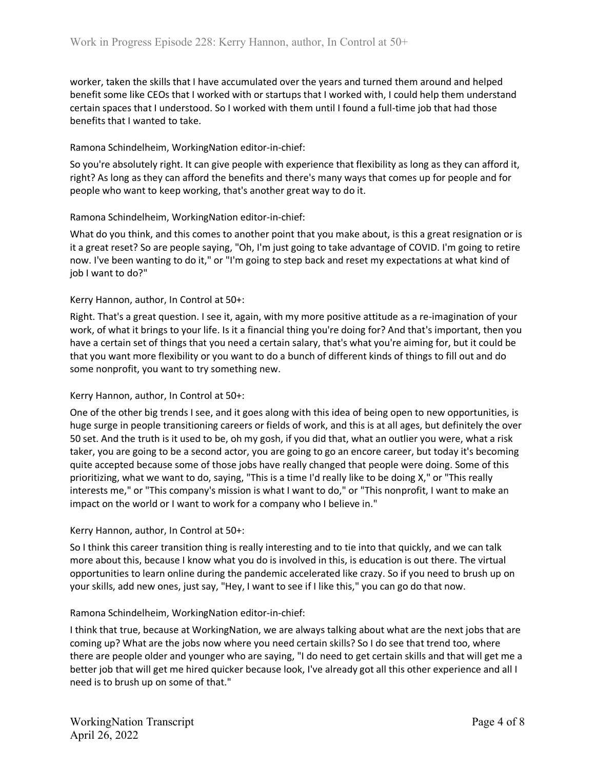worker, taken the skills that I have accumulated over the years and turned them around and helped benefit some like CEOs that I worked with or startups that I worked with, I could help them understand certain spaces that I understood. So I worked with them until I found a full-time job that had those benefits that I wanted to take.

# Ramona Schindelheim, WorkingNation editor-in-chief:

So you're absolutely right. It can give people with experience that flexibility as long as they can afford it, right? As long as they can afford the benefits and there's many ways that comes up for people and for people who want to keep working, that's another great way to do it.

## Ramona Schindelheim, WorkingNation editor-in-chief:

What do you think, and this comes to another point that you make about, is this a great resignation or is it a great reset? So are people saying, "Oh, I'm just going to take advantage of COVID. I'm going to retire now. I've been wanting to do it," or "I'm going to step back and reset my expectations at what kind of job I want to do?"

## Kerry Hannon, author, In Control at 50+:

Right. That's a great question. I see it, again, with my more positive attitude as a re-imagination of your work, of what it brings to your life. Is it a financial thing you're doing for? And that's important, then you have a certain set of things that you need a certain salary, that's what you're aiming for, but it could be that you want more flexibility or you want to do a bunch of different kinds of things to fill out and do some nonprofit, you want to try something new.

### Kerry Hannon, author, In Control at 50+:

One of the other big trends I see, and it goes along with this idea of being open to new opportunities, is huge surge in people transitioning careers or fields of work, and this is at all ages, but definitely the over 50 set. And the truth is it used to be, oh my gosh, if you did that, what an outlier you were, what a risk taker, you are going to be a second actor, you are going to go an encore career, but today it's becoming quite accepted because some of those jobs have really changed that people were doing. Some of this prioritizing, what we want to do, saying, "This is a time I'd really like to be doing X," or "This really interests me," or "This company's mission is what I want to do," or "This nonprofit, I want to make an impact on the world or I want to work for a company who I believe in."

### Kerry Hannon, author, In Control at 50+:

So I think this career transition thing is really interesting and to tie into that quickly, and we can talk more about this, because I know what you do is involved in this, is education is out there. The virtual opportunities to learn online during the pandemic accelerated like crazy. So if you need to brush up on your skills, add new ones, just say, "Hey, I want to see if I like this," you can go do that now.

### Ramona Schindelheim, WorkingNation editor-in-chief:

I think that true, because at WorkingNation, we are always talking about what are the next jobs that are coming up? What are the jobs now where you need certain skills? So I do see that trend too, where there are people older and younger who are saying, "I do need to get certain skills and that will get me a better job that will get me hired quicker because look, I've already got all this other experience and all I need is to brush up on some of that."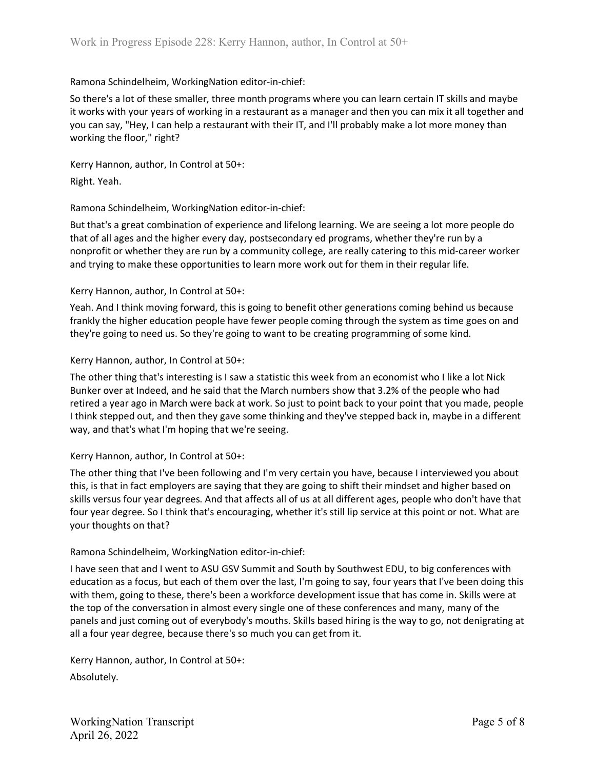So there's a lot of these smaller, three month programs where you can learn certain IT skills and maybe it works with your years of working in a restaurant as a manager and then you can mix it all together and you can say, "Hey, I can help a restaurant with their IT, and I'll probably make a lot more money than working the floor," right?

Kerry Hannon, author, In Control at 50+:

Right. Yeah.

### Ramona Schindelheim, WorkingNation editor-in-chief:

But that's a great combination of experience and lifelong learning. We are seeing a lot more people do that of all ages and the higher every day, postsecondary ed programs, whether they're run by a nonprofit or whether they are run by a community college, are really catering to this mid-career worker and trying to make these opportunities to learn more work out for them in their regular life.

### Kerry Hannon, author, In Control at 50+:

Yeah. And I think moving forward, this is going to benefit other generations coming behind us because frankly the higher education people have fewer people coming through the system as time goes on and they're going to need us. So they're going to want to be creating programming of some kind.

### Kerry Hannon, author, In Control at 50+:

The other thing that's interesting is I saw a statistic this week from an economist who I like a lot Nick Bunker over at Indeed, and he said that the March numbers show that 3.2% of the people who had retired a year ago in March were back at work. So just to point back to your point that you made, people I think stepped out, and then they gave some thinking and they've stepped back in, maybe in a different way, and that's what I'm hoping that we're seeing.

### Kerry Hannon, author, In Control at 50+:

The other thing that I've been following and I'm very certain you have, because I interviewed you about this, is that in fact employers are saying that they are going to shift their mindset and higher based on skills versus four year degrees. And that affects all of us at all different ages, people who don't have that four year degree. So I think that's encouraging, whether it's still lip service at this point or not. What are your thoughts on that?

### Ramona Schindelheim, WorkingNation editor-in-chief:

I have seen that and I went to ASU GSV Summit and South by Southwest EDU, to big conferences with education as a focus, but each of them over the last, I'm going to say, four years that I've been doing this with them, going to these, there's been a workforce development issue that has come in. Skills were at the top of the conversation in almost every single one of these conferences and many, many of the panels and just coming out of everybody's mouths. Skills based hiring is the way to go, not denigrating at all a four year degree, because there's so much you can get from it.

Kerry Hannon, author, In Control at 50+: Absolutely.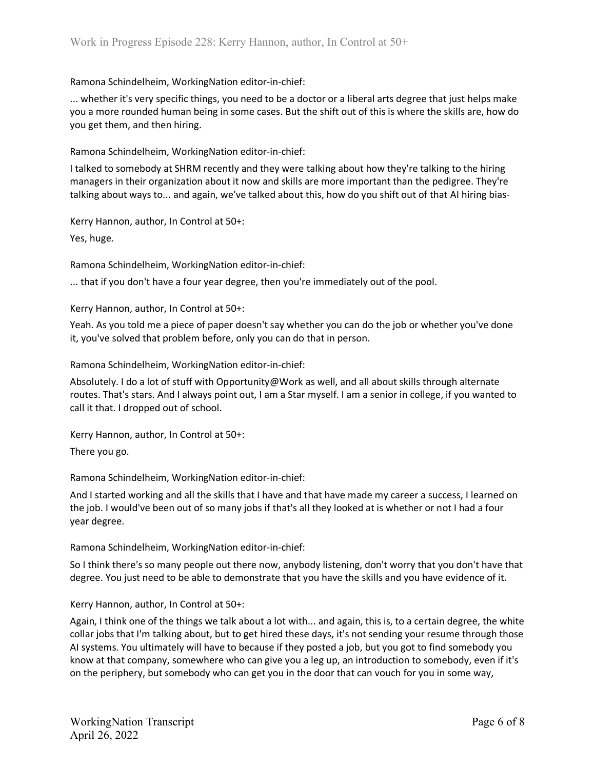... whether it's very specific things, you need to be a doctor or a liberal arts degree that just helps make you a more rounded human being in some cases. But the shift out of this is where the skills are, how do you get them, and then hiring.

Ramona Schindelheim, WorkingNation editor-in-chief:

I talked to somebody at SHRM recently and they were talking about how they're talking to the hiring managers in their organization about it now and skills are more important than the pedigree. They're talking about ways to... and again, we've talked about this, how do you shift out of that AI hiring bias-

Kerry Hannon, author, In Control at 50+:

Yes, huge.

Ramona Schindelheim, WorkingNation editor-in-chief:

... that if you don't have a four year degree, then you're immediately out of the pool.

Kerry Hannon, author, In Control at 50+:

Yeah. As you told me a piece of paper doesn't say whether you can do the job or whether you've done it, you've solved that problem before, only you can do that in person.

Ramona Schindelheim, WorkingNation editor-in-chief:

Absolutely. I do a lot of stuff with Opportunity@Work as well, and all about skills through alternate routes. That's stars. And I always point out, I am a Star myself. I am a senior in college, if you wanted to call it that. I dropped out of school.

Kerry Hannon, author, In Control at 50+:

There you go.

Ramona Schindelheim, WorkingNation editor-in-chief:

And I started working and all the skills that I have and that have made my career a success, I learned on the job. I would've been out of so many jobs if that's all they looked at is whether or not I had a four year degree.

Ramona Schindelheim, WorkingNation editor-in-chief:

So I think there's so many people out there now, anybody listening, don't worry that you don't have that degree. You just need to be able to demonstrate that you have the skills and you have evidence of it.

Kerry Hannon, author, In Control at 50+:

Again, I think one of the things we talk about a lot with... and again, this is, to a certain degree, the white collar jobs that I'm talking about, but to get hired these days, it's not sending your resume through those AI systems. You ultimately will have to because if they posted a job, but you got to find somebody you know at that company, somewhere who can give you a leg up, an introduction to somebody, even if it's on the periphery, but somebody who can get you in the door that can vouch for you in some way,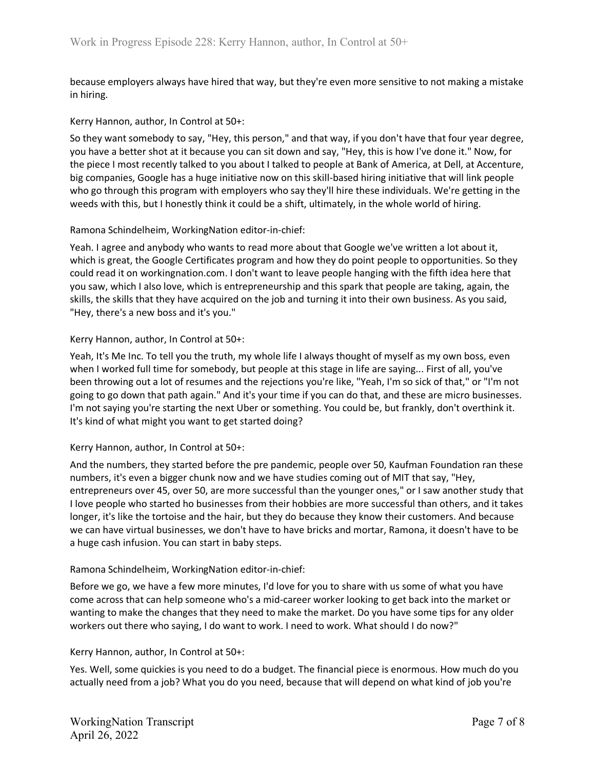because employers always have hired that way, but they're even more sensitive to not making a mistake in hiring.

### Kerry Hannon, author, In Control at 50+:

So they want somebody to say, "Hey, this person," and that way, if you don't have that four year degree, you have a better shot at it because you can sit down and say, "Hey, this is how I've done it." Now, for the piece I most recently talked to you about I talked to people at Bank of America, at Dell, at Accenture, big companies, Google has a huge initiative now on this skill-based hiring initiative that will link people who go through this program with employers who say they'll hire these individuals. We're getting in the weeds with this, but I honestly think it could be a shift, ultimately, in the whole world of hiring.

#### Ramona Schindelheim, WorkingNation editor-in-chief:

Yeah. I agree and anybody who wants to read more about that Google we've written a lot about it, which is great, the Google Certificates program and how they do point people to opportunities. So they could read it on workingnation.com. I don't want to leave people hanging with the fifth idea here that you saw, which I also love, which is entrepreneurship and this spark that people are taking, again, the skills, the skills that they have acquired on the job and turning it into their own business. As you said, "Hey, there's a new boss and it's you."

#### Kerry Hannon, author, In Control at 50+:

Yeah, It's Me Inc. To tell you the truth, my whole life I always thought of myself as my own boss, even when I worked full time for somebody, but people at this stage in life are saying... First of all, you've been throwing out a lot of resumes and the rejections you're like, "Yeah, I'm so sick of that," or "I'm not going to go down that path again." And it's your time if you can do that, and these are micro businesses. I'm not saying you're starting the next Uber or something. You could be, but frankly, don't overthink it. It's kind of what might you want to get started doing?

### Kerry Hannon, author, In Control at 50+:

And the numbers, they started before the pre pandemic, people over 50, Kaufman Foundation ran these numbers, it's even a bigger chunk now and we have studies coming out of MIT that say, "Hey, entrepreneurs over 45, over 50, are more successful than the younger ones," or I saw another study that I love people who started ho businesses from their hobbies are more successful than others, and it takes longer, it's like the tortoise and the hair, but they do because they know their customers. And because we can have virtual businesses, we don't have to have bricks and mortar, Ramona, it doesn't have to be a huge cash infusion. You can start in baby steps.

#### Ramona Schindelheim, WorkingNation editor-in-chief:

Before we go, we have a few more minutes, I'd love for you to share with us some of what you have come across that can help someone who's a mid-career worker looking to get back into the market or wanting to make the changes that they need to make the market. Do you have some tips for any older workers out there who saying, I do want to work. I need to work. What should I do now?"

#### Kerry Hannon, author, In Control at 50+:

Yes. Well, some quickies is you need to do a budget. The financial piece is enormous. How much do you actually need from a job? What you do you need, because that will depend on what kind of job you're